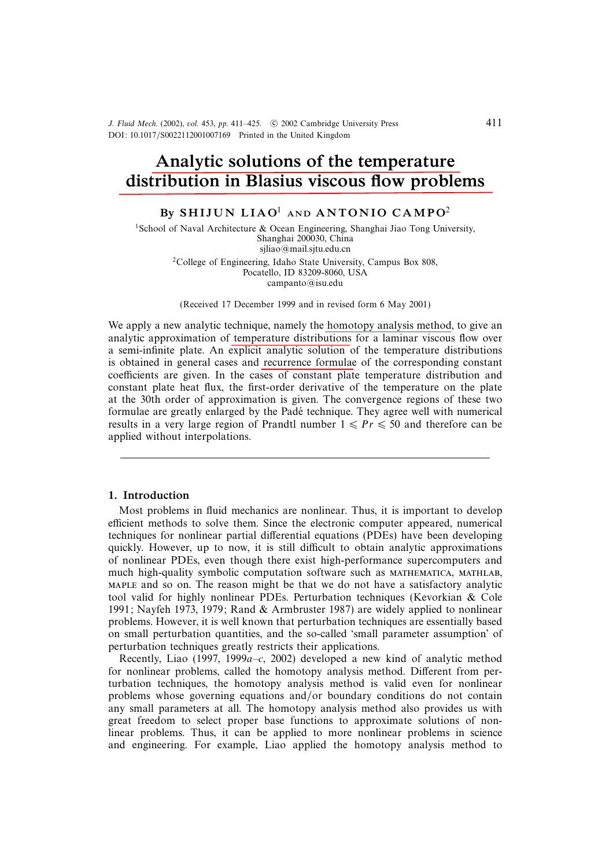J. Fluid Mech. (2002), vol. 453, pp. 411-425. © 2002 Cambridge University Press DOI: 10.1017/S0022112001007169 Printed in the United Kingdom

# Analytic solutions of the temperature distribution in Blasius viscous flow problems

## By SHIJUN LIAO<sup>1</sup> AND ANTONIO CAMPO<sup>2</sup>

<sup>1</sup>School of Naval Architecture & Ocean Engineering, Shanghai Jiao Tong University, Shanghai 200030, China sjliao@mail.sjtu.edu.cn 2College of Engineering, Idaho State University, Campus Box 808, Pocatello, ID 83209-8060, USA campanto@isu.edu

(Received 17 December 1999 and in revised form 6 May 2001)

We apply a new analytic technique, namely the homotopy analysis method, to give an analytic approximation of temperature distributions for a laminar viscous flow over a semi-infinite plate. An explicit analytic solution of the temperature distributions is obtained in general cases and recurrence formulae of the corresponding constant coefficients are given. In the cases of constant plate temperature distribution and constant plate heat flux, the first-order derivative of the temperature on the plate at the 30th order of approximation is given. The convergence regions of these two formulae are greatly enlarged by the Pade technique. They agree well with numerical ´ results in a very large region of Prandtl number  $1 \leqslant Pr \leqslant 50$  and therefore can be applied without interpolations.

### 1. Introduction

Most problems in fluid mechanics are nonlinear. Thus, it is important to develop efficient methods to solve them. Since the electronic computer appeared, numerical techniques for nonlinear partial differential equations (PDEs) have been developing quickly. However, up to now, it is still difficult to obtain analytic approximations of nonlinear PDEs, even though there exist high-performance supercomputers and much high-quality symbolic computation software such as mathematica, mathlab, maple and so on. The reason might be that we do not have a satisfactory analytic tool valid for highly nonlinear PDEs. Perturbation techniques (Kevorkian & Cole 1991; Nayfeh 1973, 1979; Rand & Armbruster 1987) are widely applied to nonlinear problems. However, it is well known that perturbation techniques are essentially based on small perturbation quantities, and the so-called 'small parameter assumption' of perturbation techniques greatly restricts their applications.

Recently, Liao (1997, 1999 $a-c$ , 2002) developed a new kind of analytic method for nonlinear problems, called the homotopy analysis method. Different from perturbation techniques, the homotopy analysis method is valid even for nonlinear problems whose governing equations and/or boundary conditions do not contain any small parameters at all. The homotopy analysis method also provides us with great freedom to select proper base functions to approximate solutions of nonlinear problems. Thus, it can be applied to more nonlinear problems in science and engineering. For example, Liao applied the homotopy analysis method to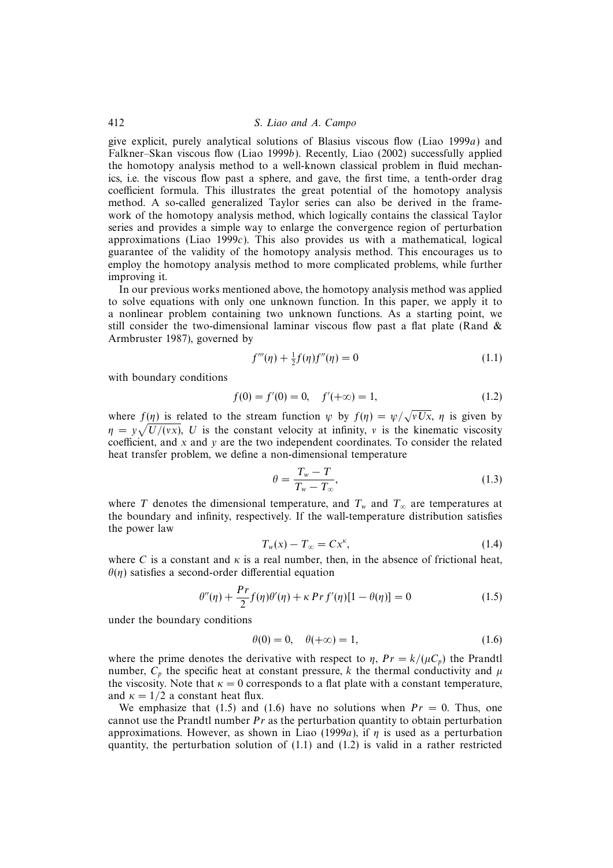give explicit, purely analytical solutions of Blasius viscous flow (Liao 1999a) and Falkner–Skan viscous flow (Liao 1999b). Recently, Liao (2002) successfully applied the homotopy analysis method to a well-known classical problem in fluid mechanics, i.e. the viscous flow past a sphere, and gave, the first time, a tenth-order drag coefficient formula. This illustrates the great potential of the homotopy analysis method. A so-called generalized Taylor series can also be derived in the framework of the homotopy analysis method, which logically contains the classical Taylor series and provides a simple way to enlarge the convergence region of perturbation approximations (Liao 1999 $c$ ). This also provides us with a mathematical, logical guarantee of the validity of the homotopy analysis method. This encourages us to employ the homotopy analysis method to more complicated problems, while further improving it.

In our previous works mentioned above, the homotopy analysis method was applied to solve equations with only one unknown function. In this paper, we apply it to a nonlinear problem containing two unknown functions. As a starting point, we still consider the two-dimensional laminar viscous flow past a flat plate (Rand  $\&$ Armbruster 1987), governed by

$$
f'''(\eta) + \frac{1}{2}f(\eta)f''(\eta) = 0 \tag{1.1}
$$

with boundary conditions

$$
f(0) = f'(0) = 0, \quad f'(+\infty) = 1,
$$
\n(1.2)

where  $f(\eta)$  is related to the stream function  $\psi$  by  $f(\eta) = \psi / \sqrt{\nu Ux}$ ,  $\eta$  is given by  $\eta = y\sqrt{U/(vx)}$ , U is the constant velocity at infinity, v is the kinematic viscosity coefficient, and x and y are the two independent coordinates. To consider the related heat transfer problem, we define a non-dimensional temperature

$$
\theta = \frac{T_w - T}{T_w - T_\infty},\tag{1.3}
$$

where T denotes the dimensional temperature, and  $T_w$  and  $T_\infty$  are temperatures at the boundary and infinity, respectively. If the wall-temperature distribution satisfies the power law

$$
T_w(x) - T_\infty = Cx^\kappa,\tag{1.4}
$$

where C is a constant and  $\kappa$  is a real number, then, in the absence of frictional heat,  $\theta(\eta)$  satisfies a second-order differential equation

$$
\theta''(\eta) + \frac{Pr}{2}f(\eta)\theta'(\eta) + \kappa Pr f'(\eta)[1 - \theta(\eta)] = 0 \qquad (1.5)
$$

under the boundary conditions

$$
\theta(0) = 0, \quad \theta(+\infty) = 1,\tag{1.6}
$$

where the prime denotes the derivative with respect to  $\eta$ ,  $Pr = k/(\mu C_p)$  the Prandtl number,  $C_p$  the specific heat at constant pressure, k the thermal conductivity and  $\mu$ the viscosity. Note that  $\kappa = 0$  corresponds to a flat plate with a constant temperature, and  $\kappa = 1/2$  a constant heat flux.

We emphasize that (1.5) and (1.6) have no solutions when  $Pr = 0$ . Thus, one cannot use the Prandtl number  $Pr$  as the perturbation quantity to obtain perturbation approximations. However, as shown in Liao (1999a), if  $\eta$  is used as a perturbation quantity, the perturbation solution of  $(1.1)$  and  $(1.2)$  is valid in a rather restricted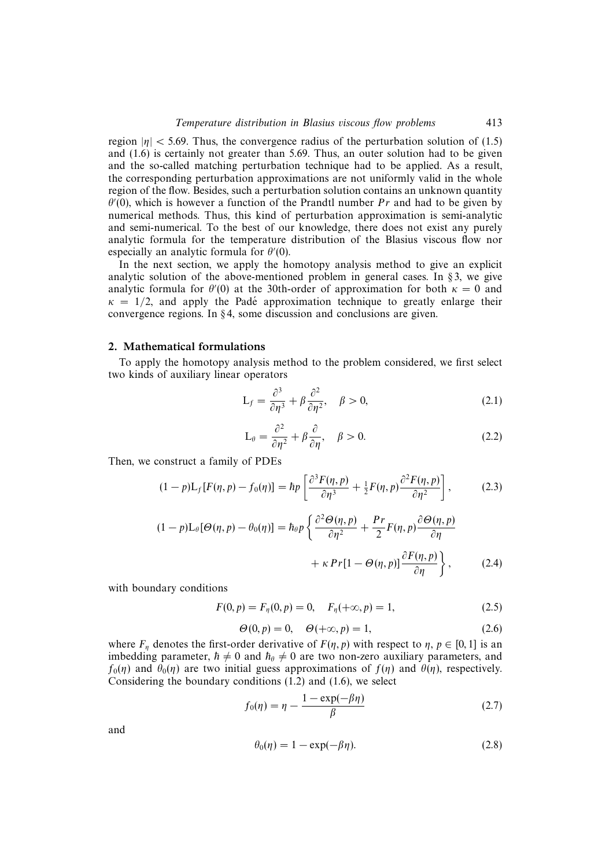region  $|\eta|$  < 5.69. Thus, the convergence radius of the perturbation solution of (1.5) and (1.6) is certainly not greater than 5.69. Thus, an outer solution had to be given and the so-called matching perturbation technique had to be applied. As a result, the corresponding perturbation approximations are not uniformly valid in the whole region of the flow. Besides, such a perturbation solution contains an unknown quantity  $\theta'(0)$ , which is however a function of the Prandtl number Pr and had to be given by numerical methods. Thus, this kind of perturbation approximation is semi-analytic and semi-numerical. To the best of our knowledge, there does not exist any purely analytic formula for the temperature distribution of the Blasius viscous flow nor especially an analytic formula for  $\theta'(0)$ .

In the next section, we apply the homotopy analysis method to give an explicit analytic solution of the above-mentioned problem in general cases. In  $\S$ 3, we give analytic formula for  $\theta'(0)$  at the 30th-order of approximation for both  $\kappa = 0$  and  $\kappa = 1/2$ , and apply the Padé approximation technique to greatly enlarge their convergence regions. In § 4, some discussion and conclusions are given.

### 2. Mathematical formulations

To apply the homotopy analysis method to the problem considered, we first select two kinds of auxiliary linear operators

$$
L_f = \frac{\partial^3}{\partial \eta^3} + \beta \frac{\partial^2}{\partial \eta^2}, \quad \beta > 0,
$$
\n(2.1)

$$
L_{\theta} = \frac{\partial^2}{\partial \eta^2} + \beta \frac{\partial}{\partial \eta}, \quad \beta > 0.
$$
 (2.2)

Then, we construct a family of PDEs

$$
(1-p)L_f[F(\eta, p) - f_0(\eta)] = \hbar p \left[ \frac{\partial^3 F(\eta, p)}{\partial \eta^3} + \frac{1}{2} F(\eta, p) \frac{\partial^2 F(\eta, p)}{\partial \eta^2} \right],
$$
 (2.3)

$$
(1-p)L_{\theta}[\Theta(\eta, p) - \theta_0(\eta)] = \hbar_{\theta}p\left\{\frac{\partial^2 \Theta(\eta, p)}{\partial \eta^2} + \frac{Pr}{2}F(\eta, p)\frac{\partial \Theta(\eta, p)}{\partial \eta} + \kappa Pr[1 - \Theta(\eta, p)]\frac{\partial F(\eta, p)}{\partial \eta}\right\},
$$
(2.4)

with boundary conditions

$$
F(0, p) = F_{\eta}(0, p) = 0, \quad F_{\eta}(+\infty, p) = 1,
$$
\n(2.5)

$$
\Theta(0, p) = 0, \quad \Theta(+\infty, p) = 1,\tag{2.6}
$$

where  $F_n$  denotes the first-order derivative of  $F(\eta, p)$  with respect to  $\eta, p \in [0, 1]$  is an imbedding parameter,  $\hbar \neq 0$  and  $\hbar_{\theta} \neq 0$  are two non-zero auxiliary parameters, and  $f_0(\eta)$  and  $\theta_0(\eta)$  are two initial guess approximations of  $f(\eta)$  and  $\theta(\eta)$ , respectively. Considering the boundary conditions (1.2) and (1.6), we select

$$
f_0(\eta) = \eta - \frac{1 - \exp(-\beta \eta)}{\beta} \tag{2.7}
$$

and

$$
\theta_0(\eta) = 1 - \exp(-\beta \eta). \tag{2.8}
$$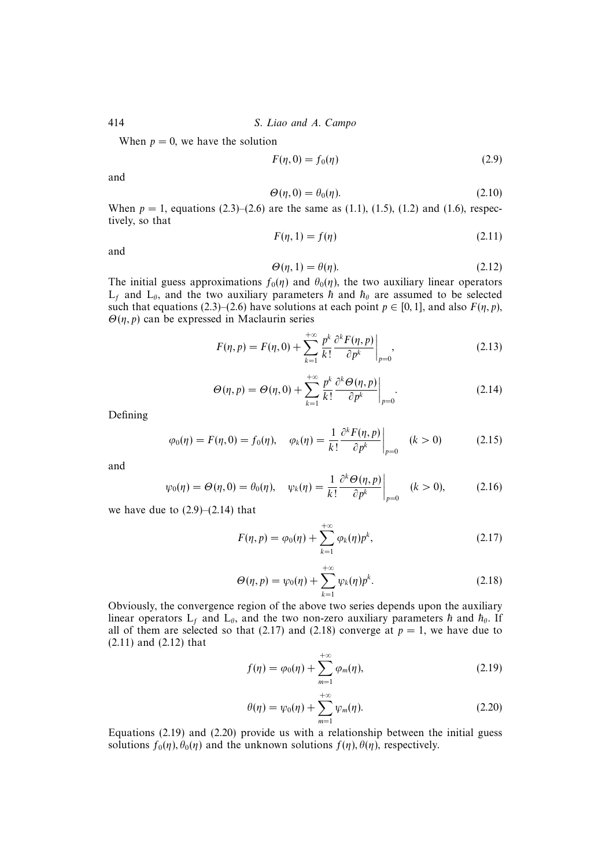When  $p = 0$ , we have the solution

$$
F(\eta,0) = f_0(\eta) \tag{2.9}
$$

and

$$
\Theta(\eta,0) = \theta_0(\eta). \tag{2.10}
$$

When  $p = 1$ , equations (2.3)–(2.6) are the same as (1.1), (1.5), (1.2) and (1.6), respectively, so that

$$
F(\eta, 1) = f(\eta) \tag{2.11}
$$

and

$$
\Theta(\eta, 1) = \theta(\eta). \tag{2.12}
$$

The initial guess approximations  $f_0(\eta)$  and  $\theta_0(\eta)$ , the two auxiliary linear operators  $L_f$  and  $L_\theta$ , and the two auxiliary parameters  $\hbar$  and  $\hbar_\theta$  are assumed to be selected such that equations (2.3)–(2.6) have solutions at each point  $p \in [0, 1]$ , and also  $F(\eta, p)$ ,  $\Theta(\eta, p)$  can be expressed in Maclaurin series

$$
F(\eta, p) = F(\eta, 0) + \sum_{k=1}^{+\infty} \frac{p^k}{k!} \frac{\partial^k F(\eta, p)}{\partial p^k} \bigg|_{p=0},
$$
\n(2.13)

$$
\Theta(\eta, p) = \Theta(\eta, 0) + \sum_{k=1}^{+\infty} \frac{p^k}{k!} \frac{\partial^k \Theta(\eta, p)}{\partial p^k} \bigg|_{p=0}.
$$
\n(2.14)

Defining

$$
\varphi_0(\eta) = F(\eta, 0) = f_0(\eta), \quad \varphi_k(\eta) = \frac{1}{k!} \frac{\partial^k F(\eta, p)}{\partial p^k} \bigg|_{p=0} \quad (k > 0) \tag{2.15}
$$

and

$$
\psi_0(\eta) = \Theta(\eta, 0) = \theta_0(\eta), \quad \psi_k(\eta) = \frac{1}{k!} \frac{\partial^k \Theta(\eta, p)}{\partial p^k}\bigg|_{p=0} \quad (k > 0), \tag{2.16}
$$

we have due to  $(2.9)$ – $(2.14)$  that

$$
F(\eta, p) = \varphi_0(\eta) + \sum_{k=1}^{+\infty} \varphi_k(\eta) p^k,
$$
 (2.17)

$$
\Theta(\eta, p) = \psi_0(\eta) + \sum_{k=1}^{+\infty} \psi_k(\eta) p^k.
$$
 (2.18)

Obviously, the convergence region of the above two series depends upon the auxiliary linear operators  $L_f$  and  $L_\theta$ , and the two non-zero auxiliary parameters  $\hbar$  and  $\hbar_\theta$ . If all of them are selected so that (2.17) and (2.18) converge at  $p = 1$ , we have due to (2.11) and (2.12) that

$$
f(\eta) = \varphi_0(\eta) + \sum_{m=1}^{+\infty} \varphi_m(\eta), \qquad (2.19)
$$

$$
\theta(\eta) = \psi_0(\eta) + \sum_{m=1}^{+\infty} \psi_m(\eta). \tag{2.20}
$$

Equations (2.19) and (2.20) provide us with a relationship between the initial guess solutions  $f_0(\eta)$ ,  $\theta_0(\eta)$  and the unknown solutions  $f(\eta)$ ,  $\theta(\eta)$ , respectively.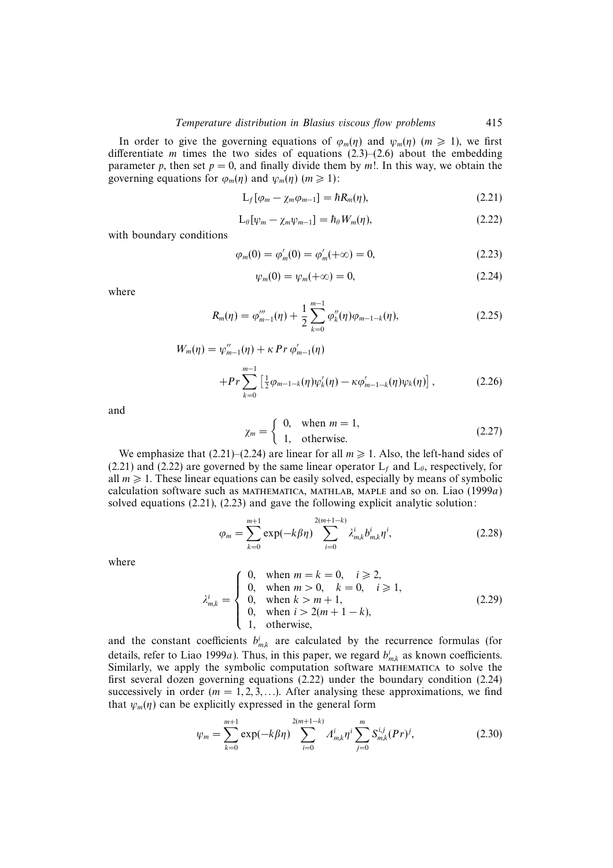In order to give the governing equations of  $\varphi_m(\eta)$  and  $\psi_m(\eta)$  ( $m \ge 1$ ), we first differentiate *m* times the two sides of equations  $(2.3)$ – $(2.6)$  about the embedding parameter p, then set  $p = 0$ , and finally divide them by m!. In this way, we obtain the governing equations for  $\varphi_m(\eta)$  and  $\psi_m(\eta)$  ( $m \ge 1$ ):

$$
L_f[\varphi_m - \chi_m \varphi_{m-1}] = \hbar R_m(\eta), \qquad (2.21)
$$

$$
L_{\theta}[\psi_m - \chi_m \psi_{m-1}] = \hbar_{\theta} W_m(\eta), \qquad (2.22)
$$

with boundary conditions

$$
\varphi_m(0) = \varphi'_m(0) = \varphi'_m(+\infty) = 0, \tag{2.23}
$$

$$
\psi_m(0) = \psi_m(+\infty) = 0,\tag{2.24}
$$

where

$$
R_m(\eta) = \varphi_{m-1}'''(\eta) + \frac{1}{2} \sum_{k=0}^{m-1} \varphi_k''(\eta) \varphi_{m-1-k}(\eta), \qquad (2.25)
$$

$$
W_m(\eta) = \psi_{m-1}''(\eta) + \kappa \Pr \varphi_{m-1}'(\eta)
$$
  
+ 
$$
P r \sum_{k=0}^{m-1} \left[ \frac{1}{2} \varphi_{m-1-k}(\eta) \psi_k'(\eta) - \kappa \varphi_{m-1-k}'(\eta) \psi_k(\eta) \right],
$$
 (2.26)

and

$$
\chi_m = \begin{cases} 0, & \text{when } m = 1, \\ 1, & \text{otherwise.} \end{cases}
$$
 (2.27)

We emphasize that (2.21)–(2.24) are linear for all  $m \ge 1$ . Also, the left-hand sides of (2.21) and (2.22) are governed by the same linear operator  $L_f$  and  $L_\theta$ , respectively, for all  $m \geq 1$ . These linear equations can be easily solved, especially by means of symbolic calculation software such as mathematica, mathlab, maple and so on. Liao (1999a) solved equations (2.21), (2.23) and gave the following explicit analytic solution:

$$
\varphi_m = \sum_{k=0}^{m+1} \exp(-k\beta\eta) \sum_{i=0}^{2(m+1-k)} \lambda_{m,k}^i b_{m,k}^i \eta^i,
$$
 (2.28)

where

$$
\lambda_{m,k}^{i} = \begin{cases}\n0, & \text{when } m = k = 0, \quad i \ge 2, \\
0, & \text{when } m > 0, \quad k = 0, \quad i \ge 1, \\
0, & \text{when } k > m + 1, \\
0, & \text{when } i > 2(m + 1 - k), \\
1, & \text{otherwise,} \n\end{cases}
$$
\n(2.29)

and the constant coefficients  $b_{m,k}^i$  are calculated by the recurrence formulas (for details, refer to Liao 1999a). Thus, in this paper, we regard  $b<sub>m,k</sub>$  as known coefficients. Similarly, we apply the symbolic computation software mathematica to solve the first several dozen governing equations (2.22) under the boundary condition (2.24) successively in order ( $m = 1, 2, 3, \ldots$ ). After analysing these approximations, we find that  $\psi_m(\eta)$  can be explicitly expressed in the general form

$$
\psi_m = \sum_{k=0}^{m+1} \exp(-k\beta\eta) \sum_{i=0}^{2(m+1-k)} A_{m,k}^i \eta^i \sum_{j=0}^m S_{m,k}^{i,j}(Pr)^j, \tag{2.30}
$$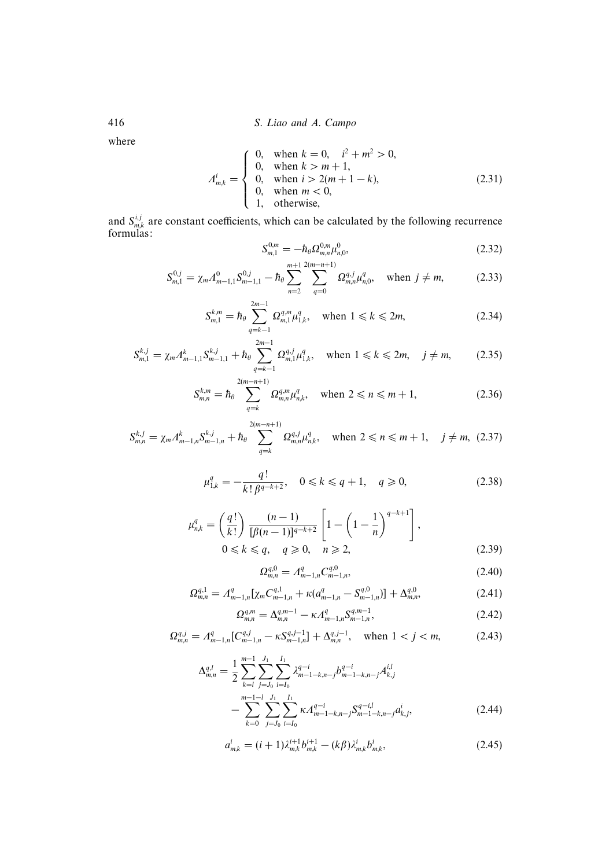where

$$
A_{mk}^{i} = \begin{cases} 0, & \text{when } k = 0, \quad i^{2} + m^{2} > 0, \\ 0, & \text{when } k > m + 1, \\ 0, & \text{when } i > 2(m + 1 - k), \\ 0, & \text{when } m < 0, \\ 1, & \text{otherwise,} \end{cases}
$$
 (2.31)

and  $S_{m,k}^{i,j}$  are constant coefficients, which can be calculated by the following recurrence formulas:

$$
S_{m,1}^{0,m} = -\hbar_{\theta} \Omega_{m,n}^{0,m} \mu_{n,0}^{0}, \tag{2.32}
$$

$$
S_{m,1}^{0,j} = \chi_m A_{m-1,1}^0 S_{m-1,1}^{0,j} - \hbar_{\theta} \sum_{n=2}^{m+1} \sum_{q=0}^{2(m-n+1)} \Omega_{m,n}^{q,j} \mu_{n,0}^q, \quad \text{when } j \neq m,
$$
 (2.33)

$$
S_{m,1}^{k,m} = \hbar_{\theta} \sum_{q=k-1}^{2m-1} \Omega_{m,1}^{q,m} \mu_{1,k}^q, \quad \text{when } 1 \le k \le 2m,
$$
 (2.34)

$$
S_{m,1}^{k,j} = \chi_m A_{m-1,1}^k S_{m-1,1}^{k,j} + \hbar_{\theta} \sum_{q=k-1}^{2m-1} \Omega_{m,1}^{q,j} \mu_{1,k}^q, \quad \text{when } 1 \le k \le 2m, \quad j \ne m,
$$
 (2.35)

$$
S_{m,n}^{k,m} = \hbar_{\theta} \sum_{q=k}^{2(m-n+1)} \Omega_{m,n}^{q,m} \mu_{n,k}^q, \quad \text{when } 2 \le n \le m+1,
$$
 (2.36)

$$
S_{m,n}^{k,j} = \chi_m A_{m-1,n}^k S_{m-1,n}^{k,j} + \hbar_{\theta} \sum_{q=k}^{2(m-n+1)} \Omega_{m,n}^{q,j} \mu_{n,k}^q, \quad \text{when } 2 \le n \le m+1, \quad j \ne m, \ (2.37)
$$

$$
\mu_{1,k}^q = -\frac{q!}{k!\,\beta^{q-k+2}}, \quad 0 \le k \le q+1, \quad q \ge 0,
$$
\n(2.38)

$$
\mu_{n,k}^q = \left(\frac{q!}{k!}\right) \frac{(n-1)}{[\beta(n-1)]^{q-k+2}} \left[1 - \left(1 - \frac{1}{n}\right)^{q-k+1}\right],
$$
\n
$$
0 \le k \le q, \quad q \ge 0, \quad n \ge 2,
$$
\n(2.39)

$$
\Omega_{m,n}^{q,0} = \Lambda_{m-1,n}^q C_{m-1,n}^{q,0},\tag{2.40}
$$

$$
\Omega_{m,n}^{q,1} = \Lambda_{m-1,n}^q \left[ \chi_m C_{m-1,n}^{q,1} + \kappa (a_{m-1,n}^q - S_{m-1,n}^{q,0}) \right] + \Delta_{m,n}^{q,0},\tag{2.41}
$$

$$
\Omega_{m,n}^{q,m} = \Delta_{m,n}^{q,m-1} - \kappa A_{m-1,n}^q S_{m-1,n}^{q,m-1}, \qquad (2.42)
$$

$$
\Omega_{m,n}^{q,j} = \Lambda_{m-1,n}^q [C_{m-1,n}^{q,j} - \kappa S_{m-1,n}^{q,j-1}] + \Delta_{m,n}^{q,j-1}, \quad \text{when } 1 < j < m,\tag{2.43}
$$

$$
\Delta_{m,n}^{q,l} = \frac{1}{2} \sum_{k=l}^{m-1} \sum_{j=J_0}^{J_1} \sum_{i=I_0}^{I_1} \lambda_{m-1-k,n-j}^{q-i} b_{m-1-k,n-j}^{q-i} A_{k,j}^{i,l} \n- \sum_{k=0}^{m-1-l} \sum_{j=J_0}^{J_1} \sum_{i=I_0}^{I_1} \kappa A_{m-1-k,n-j}^{q-i} S_{m-1-k,n-j}^{q-i,l} a_{k,j}^i, \qquad (2.44)
$$

$$
a_{m,k}^i = (i+1)\lambda_{m,k}^{i+1}b_{m,k}^{i+1} - (k\beta)\lambda_{m,k}^i b_{m,k}^i,
$$
\n(2.45)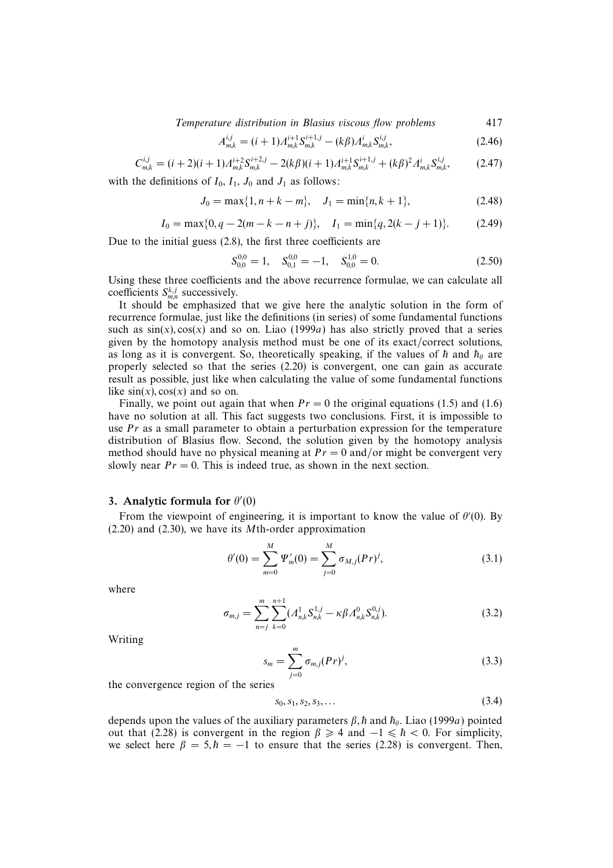Temperature distribution in Blasius viscous flow problems 417

$$
A_{m,k}^{i,j} = (i+1)A_{m,k}^{i+1}S_{m,k}^{i+1,j} - (k\beta)A_{m,k}^{i}S_{m,k}^{i,j},
$$
\n(2.46)

$$
C_{m,k}^{i,j} = (i+2)(i+1)A_{m,k}^{i+2}S_{m,k}^{i+2,j} - 2(k\beta)(i+1)A_{m,k}^{i+1}S_{m,k}^{i+1,j} + (k\beta)^2 A_{m,k}^iS_{m,k}^{i,j},\tag{2.47}
$$

with the definitions of  $I_0$ ,  $I_1$ ,  $J_0$  and  $J_1$  as follows:

$$
J_0 = \max\{1, n + k - m\}, \quad J_1 = \min\{n, k + 1\},\tag{2.48}
$$

$$
I_0 = \max\{0, q - 2(m - k - n + j)\}, \quad I_1 = \min\{q, 2(k - j + 1)\}.
$$
 (2.49)

Due to the initial guess (2.8), the first three coefficients are

$$
S_{0,0}^{0,0} = 1, \quad S_{0,1}^{0,0} = -1, \quad S_{0,0}^{1,0} = 0.
$$
 (2.50)

Using these three coefficients and the above recurrence formulae, we can calculate all coefficients  $S_{m,n}^{k,j}$  successively.

It should be emphasized that we give here the analytic solution in the form of recurrence formulae, just like the definitions (in series) of some fundamental functions such as  $sin(x)$ ,  $cos(x)$  and so on. Liao (1999a) has also strictly proved that a series given by the homotopy analysis method must be one of its exact/correct solutions, as long as it is convergent. So, theoretically speaking, if the values of  $\hbar$  and  $\hbar$ <sub> $\theta$ </sub> are properly selected so that the series (2.20) is convergent, one can gain as accurate result as possible, just like when calculating the value of some fundamental functions like  $sin(x)$ ,  $cos(x)$  and so on.

Finally, we point out again that when  $Pr = 0$  the original equations (1.5) and (1.6) have no solution at all. This fact suggests two conclusions. First, it is impossible to use  $Pr$  as a small parameter to obtain a perturbation expression for the temperature distribution of Blasius flow. Second, the solution given by the homotopy analysis method should have no physical meaning at  $Pr = 0$  and/or might be convergent very slowly near  $Pr = 0$ . This is indeed true, as shown in the next section.

### 3. Analytic formula for  $\theta'(0)$

From the viewpoint of engineering, it is important to know the value of  $\theta'(0)$ . By (2.20) and (2.30), we have its Mth-order approximation

$$
\theta'(0) = \sum_{m=0}^{M} \Psi'_m(0) = \sum_{j=0}^{M} \sigma_{M,j}(Pr)^j,
$$
\n(3.1)

where

$$
\sigma_{m,j} = \sum_{n=j}^{m} \sum_{k=0}^{n+1} (A_{n,k}^1 S_{n,k}^{1,j} - \kappa \beta A_{n,k}^0 S_{n,k}^{0,j}).
$$
\n(3.2)

Writing

$$
s_m = \sum_{j=0}^{m} \sigma_{m,j}(Pr)^j,
$$
\n(3.3)

the convergence region of the series

$$
S_0, S_1, S_2, S_3, \dots \tag{3.4}
$$

depends upon the values of the auxiliary parameters  $\beta$ ,  $\hbar$  and  $\hbar$ <sub>θ</sub>. Liao (1999a) pointed out that (2.28) is convergent in the region  $\beta \geq 4$  and  $-1 \leq \hbar < 0$ . For simplicity, we select here  $\beta = 5, \hbar = -1$  to ensure that the series (2.28) is convergent. Then,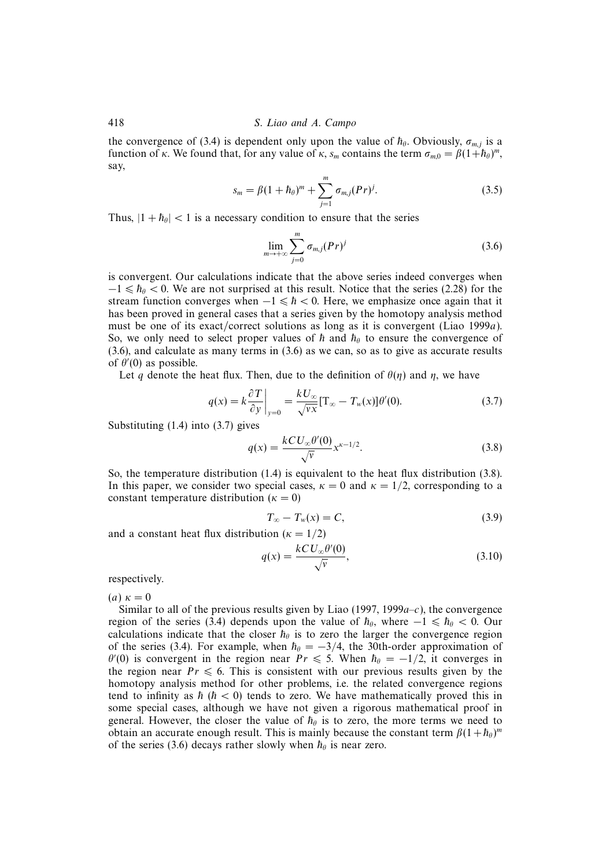the convergence of (3.4) is dependent only upon the value of  $h_{\theta}$ . Obviously,  $\sigma_{m,i}$  is a function of κ. We found that, for any value of  $\kappa$ ,  $s_m$  contains the term  $\sigma_{m,0} = \beta (1 + h_\theta)^m$ , say,

$$
s_m = \beta (1 + h_\theta)^m + \sum_{j=1}^m \sigma_{m,j} (Pr)^j.
$$
 (3.5)

Thus,  $|1 + \hbar_{\theta}| < 1$  is a necessary condition to ensure that the series

$$
\lim_{m \to +\infty} \sum_{j=0}^{m} \sigma_{m,j}(Pr)^j \tag{3.6}
$$

is convergent. Our calculations indicate that the above series indeed converges when  $-1 \leq \hbar$ <sub>θ</sub> < 0. We are not surprised at this result. Notice that the series (2.28) for the stream function converges when  $-1 \leq \hbar < 0$ . Here, we emphasize once again that it has been proved in general cases that a series given by the homotopy analysis method must be one of its exact/correct solutions as long as it is convergent (Liao 1999a). So, we only need to select proper values of  $\hbar$  and  $\hbar$ <sub> $\theta$ </sub> to ensure the convergence of (3.6), and calculate as many terms in (3.6) as we can, so as to give as accurate results of  $\theta'(0)$  as possible.

Let q denote the heat flux. Then, due to the definition of  $\theta(\eta)$  and  $\eta$ , we have

$$
q(x) = k \frac{\partial T}{\partial y}\Big|_{y=0} = \frac{k U_{\infty}}{\sqrt{vx}} [T_{\infty} - T_w(x)] \theta'(0). \tag{3.7}
$$

Substituting (1.4) into (3.7) gives

$$
q(x) = \frac{kCU_{\infty}\theta'(0)}{\sqrt{v}}x^{\kappa - 1/2}.
$$
 (3.8)

So, the temperature distribution (1.4) is equivalent to the heat flux distribution (3.8). In this paper, we consider two special cases,  $\kappa = 0$  and  $\kappa = 1/2$ , corresponding to a constant temperature distribution ( $\kappa = 0$ )

$$
T_{\infty} - T_w(x) = C,\tag{3.9}
$$

and a constant heat flux distribution ( $\kappa = 1/2$ )

$$
q(x) = \frac{kCU_{\infty}\theta'(0)}{\sqrt{v}},
$$
\n(3.10)

respectively.

(a)  $\kappa = 0$ 

Similar to all of the previous results given by Liao (1997, 1999 $a-c$ ), the convergence region of the series (3.4) depends upon the value of  $h_{\theta}$ , where  $-1 \le h_{\theta} < 0$ . Our calculations indicate that the closer  $h_{\theta}$  is to zero the larger the convergence region of the series (3.4). For example, when  $h_{\theta} = -3/4$ , the 30th-order approximation of  $\theta'(0)$  is convergent in the region near  $Pr \leq 5$ . When  $\hbar_{\theta} = -1/2$ , it converges in the region near  $Pr \le 6$ . This is consistent with our previous results given by the homotopy analysis method for other problems, i.e. the related convergence regions tend to infinity as  $\hbar$  ( $\hbar$  < 0) tends to zero. We have mathematically proved this in some special cases, although we have not given a rigorous mathematical proof in general. However, the closer the value of  $h_\theta$  is to zero, the more terms we need to obtain an accurate enough result. This is mainly because the constant term  $\beta(1+h_\theta)^m$ of the series (3.6) decays rather slowly when  $h_{\theta}$  is near zero.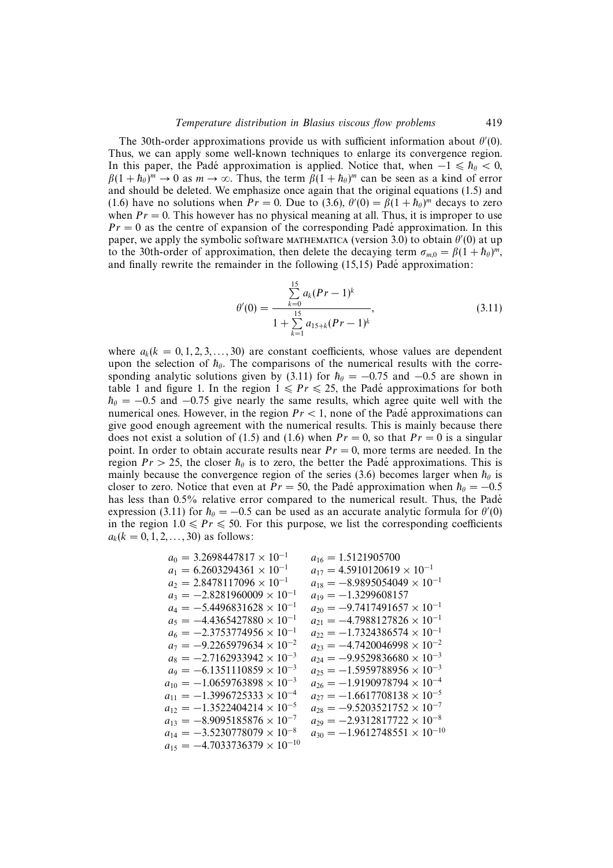The 30th-order approximations provide us with sufficient information about  $\theta'(0)$ . Thus, we can apply some well-known techniques to enlarge its convergence region. In this paper, the Padé approximation is applied. Notice that, when  $-1 \le h_\theta < 0$ ,  $\beta(1 + \hbar_\theta)^m \to 0$  as  $m \to \infty$ . Thus, the term  $\beta(1 + \hbar_\theta)^m$  can be seen as a kind of error and should be deleted. We emphasize once again that the original equations (1.5) and (1.6) have no solutions when  $Pr = 0$ . Due to (3.6),  $\theta'(0) = \beta(1 + \hbar_0)^m$  decays to zero when  $Pr = 0$ . This however has no physical meaning at all. Thus, it is improper to use  $Pr = 0$  as the centre of expansion of the corresponding Padé approximation. In this paper, we apply the symbolic software MATHEMATICA (version 3.0) to obtain  $\theta'(0)$  at up to the 30th-order of approximation, then delete the decaying term  $\sigma_{m,0} = \beta (1 + \hbar_{\theta})^m$ , and finally rewrite the remainder in the following  $(15,15)$  Padé approximation:

$$
\theta'(0) = \frac{\sum_{k=0}^{15} a_k (Pr - 1)^k}{1 + \sum_{k=1}^{15} a_{15+k} (Pr - 1)^k},
$$
\n(3.11)

where  $a_k(k = 0, 1, 2, 3, \ldots, 30)$  are constant coefficients, whose values are dependent upon the selection of  $h_{\theta}$ . The comparisons of the numerical results with the corresponding analytic solutions given by (3.11) for  $h_{\theta} = -0.75$  and  $-0.5$  are shown in table 1 and figure 1. In the region  $1 \leqslant Pr \leqslant 25$ , the Padé approximations for both  $h_{\theta} = -0.5$  and  $-0.75$  give nearly the same results, which agree quite well with the numerical ones. However, in the region  $Pr < 1$ , none of the Padé approximations can give good enough agreement with the numerical results. This is mainly because there does not exist a solution of (1.5) and (1.6) when  $Pr = 0$ , so that  $Pr = 0$  is a singular point. In order to obtain accurate results near  $Pr = 0$ , more terms are needed. In the region  $Pr > 25$ , the closer  $\bar{h}_{\theta}$  is to zero, the better the Padé approximations. This is mainly because the convergence region of the series (3.6) becomes larger when  $h_{\theta}$  is closer to zero. Notice that even at  $Pr = 50$ , the Padé approximation when  $\hbar_{\theta} = -0.5$ has less than 0.5% relative error compared to the numerical result. Thus, the Padé expression (3.11) for  $h_{\theta} = -0.5$  can be used as an accurate analytic formula for  $\theta'(0)$ in the region  $1.0 \leq Pr \leq 50$ . For this purpose, we list the corresponding coefficients  $a_k(k = 0, 1, 2, \ldots, 30)$  as follows:

| $a_0 = 3.2698447817 \times 10^{-1}$      | $a_{16} = 1.5121905700$                  |
|------------------------------------------|------------------------------------------|
| $a_1 = 6.2603294361 \times 10^{-1}$      | $a_{17} = 4.5910120619 \times 10^{-1}$   |
| $a_2 = 2.8478117096 \times 10^{-1}$      | $a_{18} = -8.9895054049 \times 10^{-1}$  |
| $a_3 = -2.8281960009 \times 10^{-1}$     | $a_{19} = -1.3299608157$                 |
| $a_4 = -5.4496831628 \times 10^{-1}$     | $a_{20} = -9.7417491657 \times 10^{-1}$  |
| $a_5 = -4.4365427880 \times 10^{-1}$     | $a_{21} = -4.7988127826 \times 10^{-1}$  |
| $a_6 = -2.3753774956 \times 10^{-1}$     | $a_{22} = -1.7324386574 \times 10^{-1}$  |
| $a_7 = -9.2265979634 \times 10^{-2}$     | $a_{23} = -4.7420046998 \times 10^{-2}$  |
| $a_8 = -2.7162933942 \times 10^{-3}$     | $a_{24} = -9.9529836680 \times 10^{-3}$  |
| $a_9 = -6.1351110859 \times 10^{-3}$     | $a_{25} = -1.5959788956 \times 10^{-3}$  |
| $a_{10} = -1.0659763898 \times 10^{-3}$  | $a_{26} = -1.9190978794 \times 10^{-4}$  |
| $a_{11} = -1.3996725333 \times 10^{-4}$  | $a_{27} = -1.6617708138 \times 10^{-5}$  |
| $a_{12} = -1.3522404214 \times 10^{-5}$  | $a_{28} = -9.5203521752 \times 10^{-7}$  |
| $a_{13} = -8.9095185876 \times 10^{-7}$  | $a_{29} = -2.9312817722 \times 10^{-8}$  |
| $a_{14} = -3.5230778079 \times 10^{-8}$  | $a_{30} = -1.9612748551 \times 10^{-10}$ |
| $a_{15} = -4.7033736379 \times 10^{-10}$ |                                          |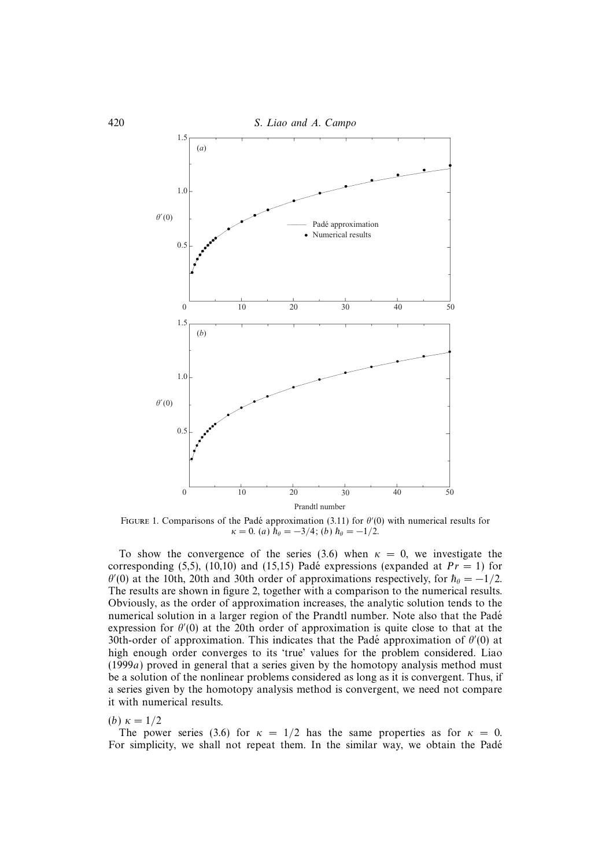

FIGURE 1. Comparisons of the Padé approximation (3.11) for  $\theta'(0)$  with numerical results for  $\kappa = 0$ . (a)  $\vec{h}_{\theta} = -3/4$ ; (b)  $\vec{h}_{\theta} = -1/2$ .

To show the convergence of the series (3.6) when  $\kappa = 0$ , we investigate the corresponding (5,5), (10,10) and (15,15) Padé expressions (expanded at  $Pr = 1$ ) for  $\theta'(0)$  at the 10th, 20th and 30th order of approximations respectively, for  $\hbar_{\theta} = -1/2$ . The results are shown in figure 2, together with a comparison to the numerical results. Obviously, as the order of approximation increases, the analytic solution tends to the numerical solution in a larger region of the Prandtl number. Note also that the Padé expression for  $\theta'(0)$  at the 20th order of approximation is quite close to that at the 30th-order of approximation. This indicates that the Padé approximation of  $\theta'(0)$  at high enough order converges to its 'true' values for the problem considered. Liao (1999a) proved in general that a series given by the homotopy analysis method must be a solution of the nonlinear problems considered as long as it is convergent. Thus, if a series given by the homotopy analysis method is convergent, we need not compare it with numerical results.

### (b)  $\kappa = 1/2$

The power series (3.6) for  $\kappa = 1/2$  has the same properties as for  $\kappa = 0$ . For simplicity, we shall not repeat them. In the similar way, we obtain the Padé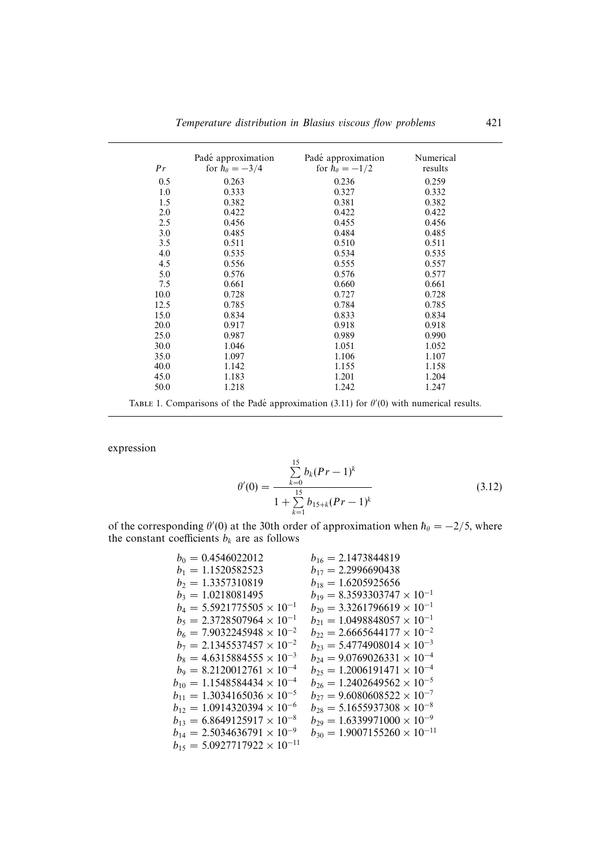| Pr   | Padé approximation<br>for $\hbar_{\theta} = -3/4$ | Padé approximation<br>for $\hbar_{\theta} = -1/2$ | Numerical<br>results |
|------|---------------------------------------------------|---------------------------------------------------|----------------------|
| 0.5  | 0.263                                             | 0.236                                             | 0.259                |
| 1.0  | 0.333                                             | 0.327                                             | 0.332                |
| 1.5  | 0.382                                             | 0.381                                             | 0.382                |
| 2.0  | 0.422                                             | 0.422                                             | 0.422                |
| 2.5  | 0.456                                             | 0.455                                             | 0.456                |
| 3.0  | 0.485                                             | 0.484                                             | 0.485                |
| 3.5  | 0.511                                             | 0.510                                             | 0.511                |
| 4.0  | 0.535                                             | 0.534                                             | 0.535                |
| 4.5  | 0.556                                             | 0.555                                             | 0.557                |
| 5.0  | 0.576                                             | 0.576                                             | 0.577                |
| 7.5  | 0.661                                             | 0.660                                             | 0.661                |
| 10.0 | 0.728                                             | 0.727                                             | 0.728                |
| 12.5 | 0.785                                             | 0.784                                             | 0.785                |
| 15.0 | 0.834                                             | 0.833                                             | 0.834                |
| 20.0 | 0.917                                             | 0.918                                             | 0.918                |
| 25.0 | 0.987                                             | 0.989                                             | 0.990                |
| 30.0 | 1.046                                             | 1.051                                             | 1.052                |
| 35.0 | 1.097                                             | 1.106                                             | 1.107                |
| 40.0 | 1.142                                             | 1.155                                             | 1.158                |
| 45.0 | 1.183                                             | 1.201                                             | 1.204                |
| 50.0 | 1.218                                             | 1.242                                             | 1.247                |

expression

$$
\theta'(0) = \frac{\sum_{k=0}^{15} b_k (Pr - 1)^k}{1 + \sum_{k=1}^{15} b_{15+k} (Pr - 1)^k}
$$
(3.12)

of the corresponding  $\theta'(0)$  at the 30th order of approximation when  $\hbar_{\theta} = -2/5$ , where the constant coefficients  $b_k$  are as follows

| $b_0 = 0.4546022012$                    | $b_{16} = 2.1473844819$                 |
|-----------------------------------------|-----------------------------------------|
| $b_1 = 1.1520582523$                    | $b_{17} = 2.2996690438$                 |
| $b_2 = 1.3357310819$                    | $b_{18} = 1.6205925656$                 |
| $b_3 = 1.0218081495$                    | $b_{19} = 8.3593303747 \times 10^{-1}$  |
| $b_4 = 5.5921775505 \times 10^{-1}$     | $b_{20} = 3.3261796619 \times 10^{-1}$  |
| $b_5 = 2.3728507964 \times 10^{-1}$     | $b_{21} = 1.0498848057 \times 10^{-1}$  |
| $b_6 = 7.9032245948 \times 10^{-2}$     | $b_{22} = 2.6665644177 \times 10^{-2}$  |
| $b_7 = 2.1345537457 \times 10^{-2}$     | $b_{23} = 5.4774908014 \times 10^{-3}$  |
| $b_8 = 4.6315884555 \times 10^{-3}$     | $b_{24} = 9.0769026331 \times 10^{-4}$  |
| $b_9 = 8.2120012761 \times 10^{-4}$     | $b_{25} = 1.2006191471 \times 10^{-4}$  |
| $b_{10} = 1.1548584434 \times 10^{-4}$  | $b_{26} = 1.2402649562 \times 10^{-5}$  |
| $b_{11} = 1.3034165036 \times 10^{-5}$  | $b_{27} = 9.6080608522 \times 10^{-7}$  |
| $b_{12} = 1.0914320394 \times 10^{-6}$  | $b_{28} = 5.1655937308 \times 10^{-8}$  |
| $b_{13} = 6.8649125917 \times 10^{-8}$  | $b_{29} = 1.6339971000 \times 10^{-9}$  |
| $b_{14} = 2.5034636791 \times 10^{-9}$  | $b_{30} = 1.9007155260 \times 10^{-11}$ |
| $b_{15} = 5.0927717922 \times 10^{-11}$ |                                         |
|                                         |                                         |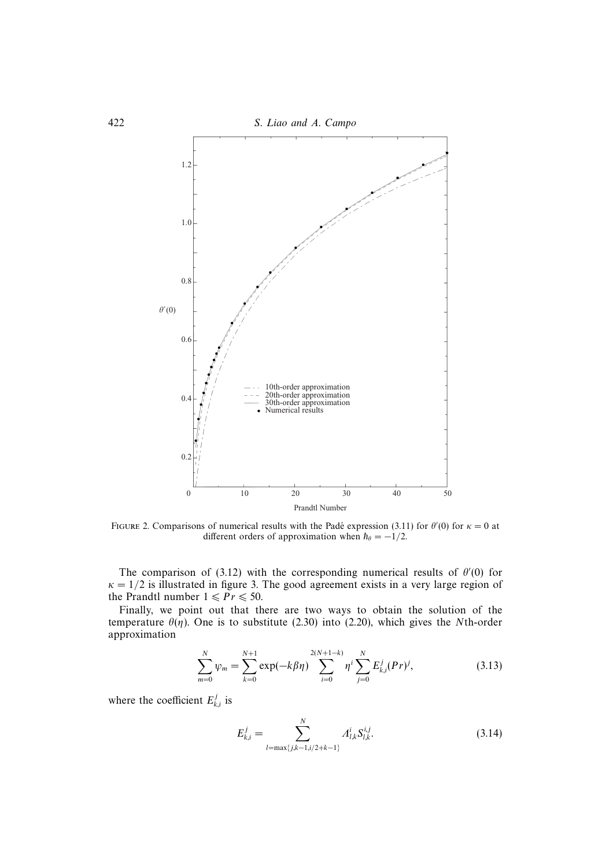

FIGURE 2. Comparisons of numerical results with the Padé expression (3.11) for  $\theta'(0)$  for  $\kappa = 0$  at different orders of approximation when  $h_{\theta} = -1/2$ .

The comparison of (3.12) with the corresponding numerical results of  $\theta'(0)$  for  $\kappa = 1/2$  is illustrated in figure 3. The good agreement exists in a very large region of the Prandtl number  $1 \leqslant Pr \leqslant 50$ .

Finally, we point out that there are two ways to obtain the solution of the temperature  $\theta(\eta)$ . One is to substitute (2.30) into (2.20), which gives the Nth-order approximation

$$
\sum_{m=0}^{N} \psi_m = \sum_{k=0}^{N+1} \exp(-k\beta\eta) \sum_{i=0}^{2(N+1-k)} \eta^i \sum_{j=0}^{N} E_{k,i}^j (Pr)^j,
$$
(3.13)

where the coefficient  $E_{k,i}^j$  is

$$
E_{k,i}^j = \sum_{l = \max\{j,k-1,i/2+k-1\}}^N A_{l,k}^{i} S_{l,k}^{i,j}.
$$
 (3.14)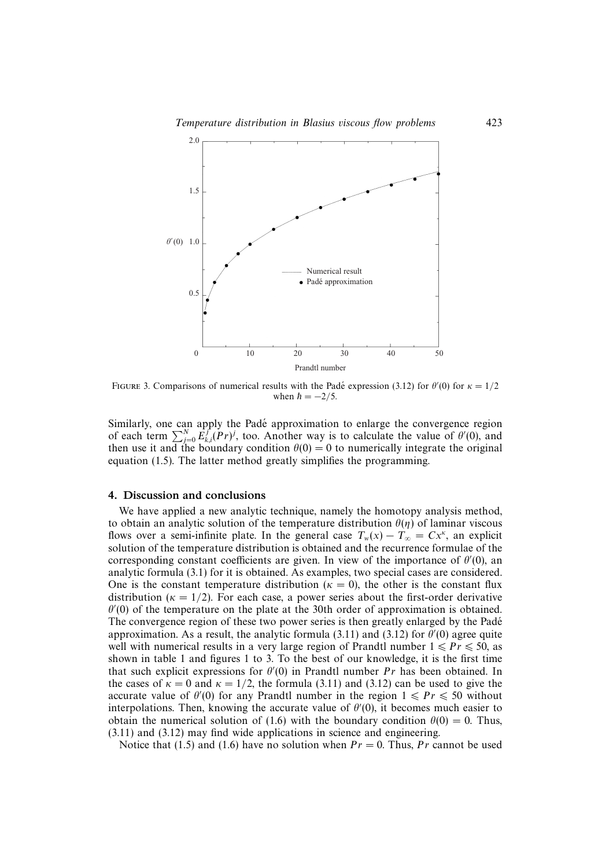

FIGURE 3. Comparisons of numerical results with the Padé expression (3.12) for  $\theta'(0)$  for  $\kappa = 1/2$ when  $\hbar = -2/5$ .

Similarly, one can apply the Pade approximation to enlarge the convergence region ´ of each term  $\sum_{j=0}^{N} E_{k,i}^{f}(Pr)^{j}$ , too. Another way is to calculate the value of  $\theta'(0)$ , and then use it and the boundary condition  $\theta(0) = 0$  to numerically integrate the original equation (1.5). The latter method greatly simplifies the programming.

### 4. Discussion and conclusions

We have applied a new analytic technique, namely the homotopy analysis method, to obtain an analytic solution of the temperature distribution  $\theta(\eta)$  of laminar viscous flows over a semi-infinite plate. In the general case  $T_w(x) - T_\infty = Cx^k$ , an explicit solution of the temperature distribution is obtained and the recurrence formulae of the corresponding constant coefficients are given. In view of the importance of  $\theta'(0)$ , an analytic formula (3.1) for it is obtained. As examples, two special cases are considered. One is the constant temperature distribution ( $\kappa = 0$ ), the other is the constant flux distribution ( $\kappa = 1/2$ ). For each case, a power series about the first-order derivative  $\theta'(0)$  of the temperature on the plate at the 30th order of approximation is obtained. The convergence region of these two power series is then greatly enlarged by the Padé approximation. As a result, the analytic formula (3.11) and (3.12) for  $\theta'(0)$  agree quite well with numerical results in a very large region of Prandtl number  $1 \leqslant Pr \leqslant 50$ , as shown in table 1 and figures 1 to 3. To the best of our knowledge, it is the first time that such explicit expressions for  $\theta'(0)$  in Prandtl number Pr has been obtained. In the cases of  $\kappa = 0$  and  $\kappa = 1/2$ , the formula (3.11) and (3.12) can be used to give the accurate value of  $\theta'(0)$  for any Prandtl number in the region  $1 \leqslant Pr \leqslant 50$  without interpolations. Then, knowing the accurate value of  $\theta'(0)$ , it becomes much easier to obtain the numerical solution of (1.6) with the boundary condition  $\theta(0) = 0$ . Thus, (3.11) and (3.12) may find wide applications in science and engineering.

Notice that (1.5) and (1.6) have no solution when  $Pr = 0$ . Thus, Pr cannot be used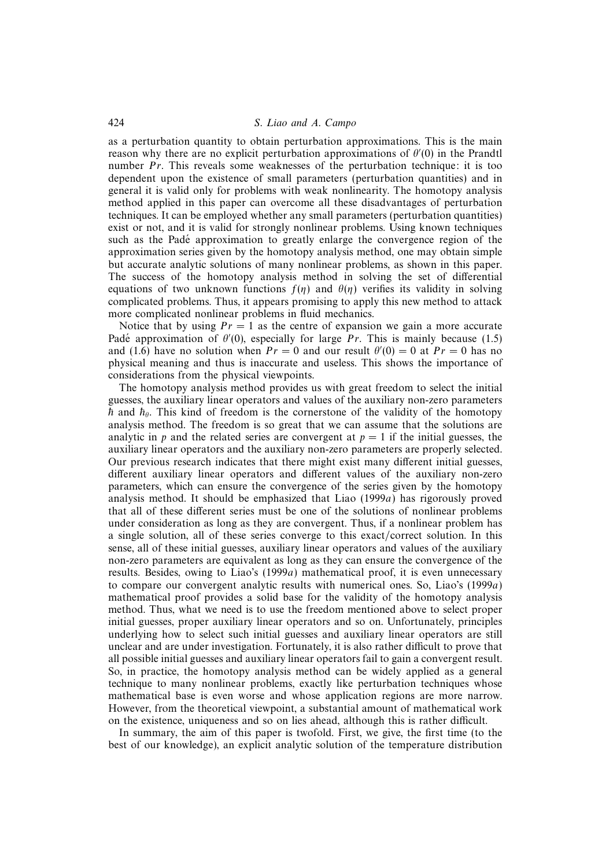as a perturbation quantity to obtain perturbation approximations. This is the main reason why there are no explicit perturbation approximations of  $\theta'(0)$  in the Prandtl number  $Pr$ . This reveals some weaknesses of the perturbation technique: it is too dependent upon the existence of small parameters (perturbation quantities) and in general it is valid only for problems with weak nonlinearity. The homotopy analysis method applied in this paper can overcome all these disadvantages of perturbation techniques. It can be employed whether any small parameters (perturbation quantities) exist or not, and it is valid for strongly nonlinear problems. Using known techniques such as the Padé approximation to greatly enlarge the convergence region of the approximation series given by the homotopy analysis method, one may obtain simple but accurate analytic solutions of many nonlinear problems, as shown in this paper. The success of the homotopy analysis method in solving the set of differential equations of two unknown functions  $f(\eta)$  and  $\theta(\eta)$  verifies its validity in solving complicated problems. Thus, it appears promising to apply this new method to attack more complicated nonlinear problems in fluid mechanics.

Notice that by using  $Pr = 1$  as the centre of expansion we gain a more accurate Padé approximation of  $\theta'(0)$ , especially for large Pr. This is mainly because (1.5) and (1.6) have no solution when  $Pr = 0$  and our result  $\theta'(0) = 0$  at  $Pr = 0$  has no physical meaning and thus is inaccurate and useless. This shows the importance of considerations from the physical viewpoints.

The homotopy analysis method provides us with great freedom to select the initial guesses, the auxiliary linear operators and values of the auxiliary non-zero parameters  $\hbar$  and  $\hbar$ <sub>θ</sub>. This kind of freedom is the cornerstone of the validity of the homotopy analysis method. The freedom is so great that we can assume that the solutions are analytic in p and the related series are convergent at  $p = 1$  if the initial guesses, the auxiliary linear operators and the auxiliary non-zero parameters are properly selected. Our previous research indicates that there might exist many different initial guesses, different auxiliary linear operators and different values of the auxiliary non-zero parameters, which can ensure the convergence of the series given by the homotopy analysis method. It should be emphasized that Liao (1999a) has rigorously proved that all of these different series must be one of the solutions of nonlinear problems under consideration as long as they are convergent. Thus, if a nonlinear problem has a single solution, all of these series converge to this exact/correct solution. In this sense, all of these initial guesses, auxiliary linear operators and values of the auxiliary non-zero parameters are equivalent as long as they can ensure the convergence of the results. Besides, owing to Liao's (1999a) mathematical proof, it is even unnecessary to compare our convergent analytic results with numerical ones. So, Liao's (1999a) mathematical proof provides a solid base for the validity of the homotopy analysis method. Thus, what we need is to use the freedom mentioned above to select proper initial guesses, proper auxiliary linear operators and so on. Unfortunately, principles underlying how to select such initial guesses and auxiliary linear operators are still unclear and are under investigation. Fortunately, it is also rather difficult to prove that all possible initial guesses and auxiliary linear operators fail to gain a convergent result. So, in practice, the homotopy analysis method can be widely applied as a general technique to many nonlinear problems, exactly like perturbation techniques whose mathematical base is even worse and whose application regions are more narrow. However, from the theoretical viewpoint, a substantial amount of mathematical work on the existence, uniqueness and so on lies ahead, although this is rather difficult.

In summary, the aim of this paper is twofold. First, we give, the first time (to the best of our knowledge), an explicit analytic solution of the temperature distribution